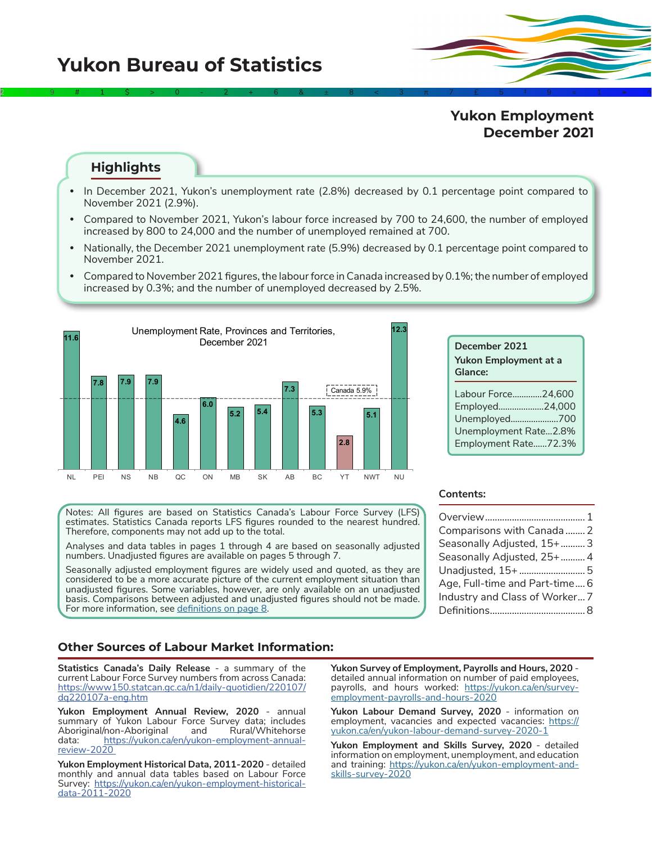# **Yukon Bureau of Statistics**

## **Yukon Employment December 2021**

### **Highlights**

**•** In December 2021, Yukon's unemployment rate (2.8%) decreased by 0.1 percentage point compared to November 2021 (2.9%).

2÷9#1\$>0-2+6&±8<3π7£5‡9≈1∞^

- **•** Compared to November 2021, Yukon's labour force increased by 700 to 24,600, the number of employed increased by 800 to 24,000 and the number of unemployed remained at 700.
- **•** Nationally, the December 2021 unemployment rate (5.9%) decreased by 0.1 percentage point compared to November 2021.
- **•** Compared to November 2021 figures, the labour force in Canada increased by 0.1%; the number of employed increased by 0.3%; and the number of unemployed decreased by 2.5%.



| December 2021<br><b>Yukon Employment at a</b><br>Glance:                                               |
|--------------------------------------------------------------------------------------------------------|
| Labour Force24.600<br>Employed24,000<br>Unemployed700<br>Unemployment Rate2.8%<br>Employment Rate72.3% |

Notes: All figures are based on Statistics Canada's Labour Force Survey (LFS) estimates. Statistics Canada reports LFS figures rounded to the nearest hundred. Therefore, components may not add up to the total.

Analyses and data tables in pages 1 through 4 are based on seasonally adjusted numbers. Unadjusted figures are available on pages 5 through 7.

Seasonally adjusted employment figures are widely used and quoted, as they are considered to be a more accurate picture of the current employment situation than unadjusted figures. Some variables, however, are only available on an unadjusted basis. Comparisons between adjusted and unadjusted figures should not be made. For more information, see [definitions on page 8](#page-7-0).

#### **Contents:**

| Comparisons with Canada  2     |  |
|--------------------------------|--|
| Seasonally Adjusted, 15+ 3     |  |
| Seasonally Adjusted, 25+  4    |  |
| Unadjusted, 15+ 5              |  |
| Age, Full-time and Part-time 6 |  |
| Industry and Class of Worker 7 |  |
|                                |  |

#### **Other Sources of Labour Market Information:**

**Statistics Canada's Daily Release** - a summary of the current Labour Force Survey numbers from across Canada: [https://www150.statcan.gc.ca/n1/daily-quotidien/220107/](https://www150.statcan.gc.ca/n1/daily-quotidien/220107/dq220107a-eng.htm) [dq220107a-eng.htm](https://www150.statcan.gc.ca/n1/daily-quotidien/220107/dq220107a-eng.htm)

**Yukon Employment Annual Review, 2020** - annual summary of Yukon Labour Force Survey data; includes Aboriginal/non-Aboriginal and data: [https://yukon.ca/en/yukon-employment-annual](https://yukon.ca/en/yukon-employment-annual-review-2020  )[review-2020](https://yukon.ca/en/yukon-employment-annual-review-2020  ) 

**Yukon Employment Historical Data, 2011-2020** - detailed monthly and annual data tables based on Labour Force Survey: [https://yukon.ca/en/yukon-employment-historical](https://yukon.ca/en/yukon-employment-historical-data-2011-2020)[data-2011-2020](https://yukon.ca/en/yukon-employment-historical-data-2011-2020)

**Yukon Survey of Employment, Payrolls and Hours, 2020**  detailed annual information on number of paid employees, payrolls, and hours worked: [https://yukon.ca/en/survey](https://yukon.ca/en/survey-employment-payrolls-and-hours-2020)[employment-payrolls-and-hours-2020](https://yukon.ca/en/survey-employment-payrolls-and-hours-2020)

**Yukon Labour Demand Survey, 2020** - information on employment, vacancies and expected vacancies: [https://](https://yukon.ca/en/yukon-labour-demand-survey-2020-1 ) [yukon.ca/en/yukon-labour-demand-survey-2020-1](https://yukon.ca/en/yukon-labour-demand-survey-2020-1 )

**Yukon Employment and Skills Survey, 2020** - detailed information on employment, unemployment, and education and training: [https://yukon.ca/en/yukon-employment-and](https://yukon.ca/en/yukon-employment-and-skills-survey-2020)[skills-survey-2020](https://yukon.ca/en/yukon-employment-and-skills-survey-2020)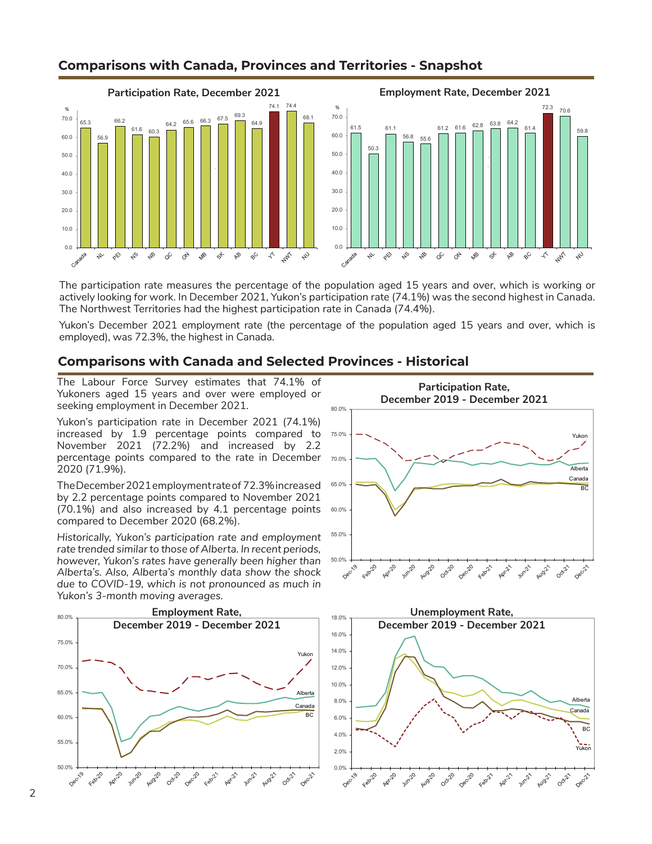

## **Comparisons with Canada, Provinces and Territories - Snapshot**

The participation rate measures the percentage of the population aged 15 years and over, which is working or actively looking for work. In December 2021, Yukon's participation rate (74.1%) was the second highest in Canada. The Northwest Territories had the highest participation rate in Canada (74.4%).

Yukon's December 2021 employment rate (the percentage of the population aged 15 years and over, which is employed), was 72.3%, the highest in Canada.

### **Comparisons with Canada and Selected Provinces - Historical**

The Labour Force Survey estimates that 74.1% of Yukoners aged 15 years and over were employed or seeking employment in December 2021.

Yukon's participation rate in December 2021 (74.1%) increased by 1.9 percentage points compared to November 2021 (72.2%) and increased by 2.2 percentage points compared to the rate in December 2020 (71.9%).

The December 2021 employment rate of 72.3% increased by 2.2 percentage points compared to November 2021 (70.1%) and also increased by 4.1 percentage points compared to December 2020 (68.2%).

*Historically, Yukon's participation rate and employment rate trended similar to those of Alberta. In recent periods, however, Yukon's rates have generally been higher than Alberta's. Also, Alberta's monthly data show the shock due to COVID-19, which is not pronounced as much in Yukon's 3-month moving averages.*





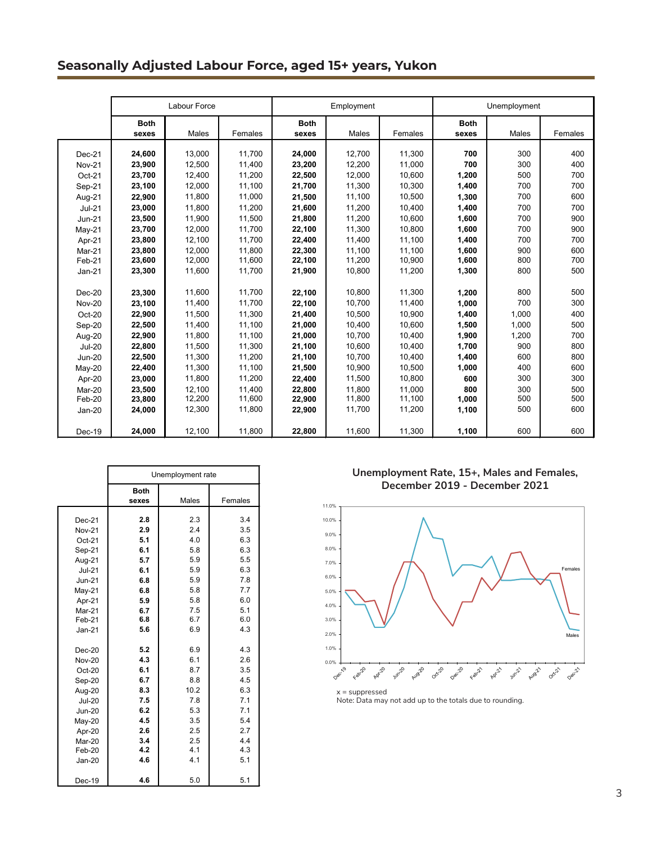## **Seasonally Adjusted Labour Force, aged 15+ years, Yukon**

|               |             | Labour Force |         |             | Employment |         |             | Unemployment |         |  |
|---------------|-------------|--------------|---------|-------------|------------|---------|-------------|--------------|---------|--|
|               | <b>Both</b> |              |         | <b>Both</b> |            |         | <b>Both</b> |              |         |  |
|               | sexes       | Males        | Females | sexes       | Males      | Females | sexes       | Males        | Females |  |
| Dec-21        | 24,600      | 13,000       | 11.700  | 24,000      | 12,700     | 11,300  | 700         | 300          | 400     |  |
| <b>Nov-21</b> | 23,900      | 12,500       | 11,400  | 23,200      | 12,200     | 11,000  | 700         | 300          | 400     |  |
| Oct-21        | 23,700      | 12.400       | 11,200  | 22,500      | 12.000     | 10,600  | 1,200       | 500          | 700     |  |
| Sep-21        | 23,100      | 12,000       | 11,100  | 21,700      | 11,300     | 10,300  | 1,400       | 700          | 700     |  |
| Aug-21        | 22,900      | 11.800       | 11.000  | 21,500      | 11.100     | 10.500  | 1,300       | 700          | 600     |  |
| $Jul-21$      | 23,000      | 11,800       | 11,200  | 21,600      | 11.200     | 10,400  | 1,400       | 700          | 700     |  |
| $Jun-21$      | 23,500      | 11,900       | 11,500  | 21,800      | 11,200     | 10,600  | 1,600       | 700          | 900     |  |
| $May-21$      | 23,700      | 12,000       | 11.700  | 22,100      | 11.300     | 10.800  | 1,600       | 700          | 900     |  |
| Apr-21        | 23,800      | 12,100       | 11,700  | 22,400      | 11,400     | 11,100  | 1,400       | 700          | 700     |  |
| Mar-21        | 23.800      | 12,000       | 11,800  | 22.300      | 11,100     | 11,100  | 1.600       | 900          | 600     |  |
| Feb-21        | 23,600      | 12,000       | 11,600  | 22,100      | 11,200     | 10,900  | 1,600       | 800          | 700     |  |
| $Jan-21$      | 23,300      | 11,600       | 11,700  | 21,900      | 10,800     | 11,200  | 1,300       | 800          | 500     |  |
|               |             |              |         |             |            |         |             |              |         |  |
| $Dec-20$      | 23,300      | 11.600       | 11.700  | 22,100      | 10.800     | 11,300  | 1,200       | 800          | 500     |  |
| <b>Nov-20</b> | 23,100      | 11,400       | 11,700  | 22,100      | 10,700     | 11,400  | 1,000       | 700          | 300     |  |
| Oct-20        | 22,900      | 11,500       | 11,300  | 21,400      | 10.500     | 10,900  | 1,400       | 1.000        | 400     |  |
| Sep-20        | 22,500      | 11,400       | 11,100  | 21,000      | 10,400     | 10,600  | 1,500       | 1,000        | 500     |  |
| Aug-20        | 22,900      | 11,800       | 11,100  | 21,000      | 10,700     | 10,400  | 1,900       | 1,200        | 700     |  |
| <b>Jul-20</b> | 22,800      | 11,500       | 11,300  | 21,100      | 10.600     | 10,400  | 1,700       | 900          | 800     |  |
| <b>Jun-20</b> | 22,500      | 11,300       | 11,200  | 21,100      | 10,700     | 10,400  | 1,400       | 600          | 800     |  |
| $May-20$      | 22,400      | 11,300       | 11,100  | 21,500      | 10,900     | 10,500  | 1,000       | 400          | 600     |  |
| Apr-20        | 23,000      | 11.800       | 11.200  | 22,400      | 11.500     | 10.800  | 600         | 300          | 300     |  |
| Mar-20        | 23.500      | 12,100       | 11,400  | 22.800      | 11.800     | 11.000  | 800         | 300          | 500     |  |
| Feb-20        | 23,800      | 12,200       | 11,600  | 22,900      | 11,800     | 11,100  | 1,000       | 500          | 500     |  |
| Jan-20        | 24,000      | 12.300       | 11,800  | 22,900      | 11.700     | 11,200  | 1,100       | 500          | 600     |  |
| $Dec-19$      | 24,000      | 12,100       | 11,800  | 22,800      | 11,600     | 11,300  | 1,100       | 600          | 600     |  |

|               |                      | Unemployment rate |         |
|---------------|----------------------|-------------------|---------|
|               | <b>Both</b><br>sexes | Males             | Females |
| Dec-21        | 2.8                  | 2.3               | 3.4     |
| <b>Nov-21</b> | 2.9                  | 2.4               | 3.5     |
|               | 5.1                  | 4.0               | 6.3     |
| Oct-21        | 6.1                  | 5.8               | 6.3     |
| Sep-21        | 5.7                  | 5.9               | 5.5     |
| Aug-21        |                      |                   | 6.3     |
| $Jul-21$      | 6.1                  | 5.9               |         |
| <b>Jun-21</b> | 6.8                  | 5.9               | 7.8     |
| May-21        | 6.8                  | 5.8               | 7.7     |
| Apr-21        | 5.9                  | 5.8               | 6.0     |
| Mar-21        | 6.7                  | 7.5               | 5.1     |
| Feb-21        | 6.8                  | 6.7               | 6.0     |
| $Jan-21$      | 5.6                  | 6.9               | 4.3     |
| $Dec-20$      | 5.2                  | 6.9               | 4.3     |
| <b>Nov-20</b> | 4.3                  | 6.1               | 2.6     |
| Oct-20        | 6.1                  | 8.7               | 3.5     |
| Sep-20        | 6.7                  | 8.8               | 4.5     |
| Aug-20        | 8.3                  | 10.2              | 6.3     |
| <b>Jul-20</b> | 7.5                  | 7.8               | 7.1     |
| <b>Jun-20</b> | 6.2                  | 5.3               | 7.1     |
| May-20        | 4.5                  | 3.5               | 5.4     |
| Apr-20        | 2.6                  | 2.5               | 2.7     |
| Mar-20        | 3.4                  | 2.5               | 4.4     |
| $Feb-20$      | 4.2                  | 4.1               | 4.3     |
| Jan-20        | 4.6                  | 4.1               | 5.1     |
| Dec-19        | 4.6                  | 5.0               | 5.1     |

**Unemployment Rate, 15+, Males and Females, December 2019 - December 2021**



Note: Data may not add up to the totals due to rounding.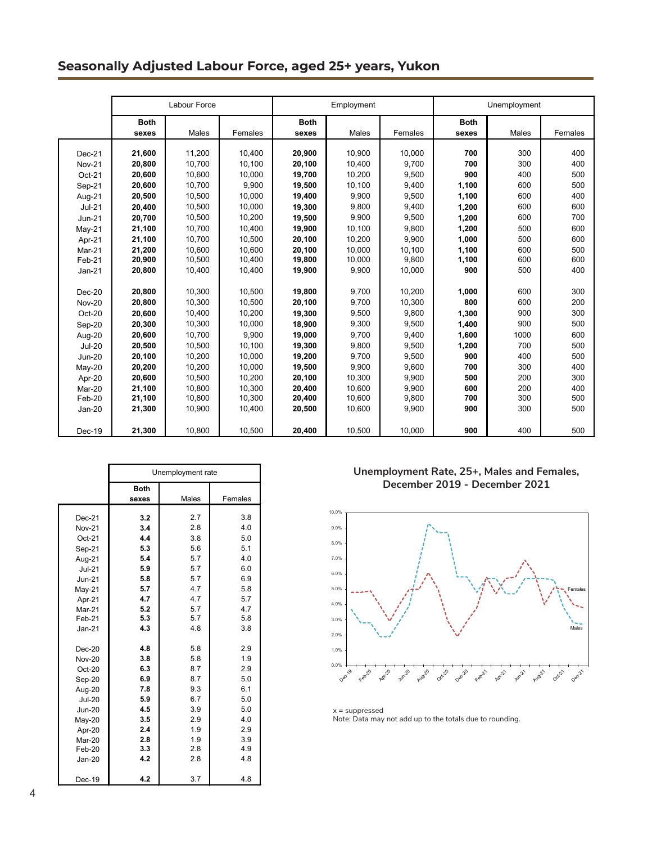## **Seasonally Adjusted Labour Force, aged 25+ years, Yukon**

|                    |                  | Labour Force     |                  |                  | Employment       |                 |                | Unemployment |            |
|--------------------|------------------|------------------|------------------|------------------|------------------|-----------------|----------------|--------------|------------|
|                    |                  |                  |                  |                  |                  |                 |                |              |            |
|                    | <b>Both</b>      |                  |                  | <b>Both</b>      |                  |                 | <b>Both</b>    |              |            |
|                    | sexes            | Males            | Females          | sexes            | Males            | Females         | sexes          | Males        | Females    |
| Dec-21             | 21,600           | 11.200           | 10.400           | 20,900           | 10.900           | 10.000          | 700            | 300          | 400        |
| <b>Nov-21</b>      | 20,800           | 10,700           | 10,100           | 20,100           | 10,400           | 9,700           | 700            | 300          | 400        |
| $Oct-21$           | 20,600           | 10,600           | 10,000           | 19,700           | 10,200           | 9,500           | 900            | 400          | 500        |
|                    | 20,600           | 10.700           | 9,900            | 19,500           | 10,100           | 9,400           | 1,100          | 600          | 500        |
| Sep-21             | 20,500           | 10.500           | 10.000           | 19,400           | 9.900            | 9,500           | 1,100          | 600          | 400        |
| Aug-21<br>$Jul-21$ | 20,400           | 10,500           | 10,000           | 19,300           | 9,800            | 9,400           | 1,200          | 600          | 600        |
| <b>Jun-21</b>      | 20,700           | 10,500           | 10,200           | 19,500           | 9,900            | 9,500           | 1,200          | 600          | 700        |
|                    | 21,100           | 10.700           | 10.400           | 19,900           | 10,100           | 9,800           | 1,200          | 500          | 600        |
| $May-21$           |                  |                  |                  |                  |                  |                 |                |              |            |
| Apr-21             | 21,100           | 10,700           | 10,500           | 20,100           | 10,200           | 9,900           | 1,000          | 500          | 600        |
| Mar-21<br>Feb-21   | 21.200<br>20,900 | 10.600<br>10,500 | 10.600<br>10,400 | 20.100<br>19,800 | 10.000<br>10,000 | 10.100<br>9,800 | 1.100<br>1.100 | 600<br>600   | 500<br>600 |
| $Jan-21$           | 20,800           | 10,400           | 10,400           | 19,900           | 9,900            | 10,000          | 900            | 500          | 400        |
|                    |                  |                  |                  |                  |                  |                 |                |              |            |
| $Dec-20$           | 20,800           | 10.300           | 10,500           | 19.800           | 9.700            | 10,200          | 1,000          | 600          | 300        |
| <b>Nov-20</b>      | 20,800           | 10,300           | 10,500           | 20,100           | 9,700            | 10,300          | 800            | 600          | 200        |
| Oct-20             | 20,600           | 10,400           | 10,200           | 19,300           | 9,500            | 9,800           | 1,300          | 900          | 300        |
| Sep-20             | 20,300           | 10,300           | 10,000           | 18,900           | 9,300            | 9,500           | 1,400          | 900          | 500        |
| Aug-20             | 20,600           | 10.700           | 9.900            | 19.000           | 9.700            | 9.400           | 1.600          | 1000         | 600        |
| <b>Jul-20</b>      | 20,500           | 10.500           | 10,100           | 19,300           | 9,800            | 9,500           | 1,200          | 700          | 500        |
| <b>Jun-20</b>      | 20,100           | 10,200           | 10,000           | 19,200           | 9,700            | 9,500           | 900            | 400          | 500        |
| $May-20$           | 20,200           | 10,200           | 10,000           | 19,500           | 9,900            | 9,600           | 700            | 300          | 400        |
| Apr-20             | 20,600           | 10,500           | 10,200           | 20,100           | 10,300           | 9,900           | 500            | 200          | 300        |
| Mar-20             | 21.100           | 10.800           | 10.300           | 20.400           | 10.600           | 9.900           | 600            | 200          | 400        |
| Feb-20             | 21,100           | 10,800           | 10,300           | 20,400           | 10,600           | 9,800           | 700            | 300          | 500        |
| Jan-20             | 21,300           | 10.900           | 10.400           | 20,500           | 10.600           | 9,900           | 900            | 300          | 500        |
|                    |                  |                  |                  |                  |                  |                 |                |              |            |
| Dec-19             | 21,300           | 10,800           | 10,500           | 20,400           | 10.500           | 10,000          | 900            | 400          | 500        |

|               | Unemployment rate    |                  |     |  |  |  |  |
|---------------|----------------------|------------------|-----|--|--|--|--|
|               | <b>Both</b><br>sexes | Males<br>Females |     |  |  |  |  |
| $Dec-21$      | 3.2                  | 2.7              | 3.8 |  |  |  |  |
| <b>Nov-21</b> | 3.4                  | 2.8              | 4.0 |  |  |  |  |
| $Oct-21$      | 4.4                  | 3.8              | 5.0 |  |  |  |  |
| Sep-21        | 5.3                  | 5.6              | 5.1 |  |  |  |  |
| Aug-21        | 5.4                  | 5.7              | 4.0 |  |  |  |  |
| $Jul-21$      | 5.9                  | 5.7              | 6.0 |  |  |  |  |
| <b>Jun-21</b> | 5.8                  | 5.7              | 6.9 |  |  |  |  |
| $May-21$      | 5.7                  | 4.7              | 5.8 |  |  |  |  |
| Apr-21        | 4.7                  | 4.7              | 5.7 |  |  |  |  |
| Mar-21        | 5.2                  | 5.7              | 4.7 |  |  |  |  |
| Feb-21        | 5.3                  | 5.7              | 5.8 |  |  |  |  |
| $Jan-21$      | 4.3                  | 4.8              | 3.8 |  |  |  |  |
| $Dec-20$      | 4.8                  | 5.8              | 2.9 |  |  |  |  |
| <b>Nov-20</b> | 3.8                  | 5.8              | 1.9 |  |  |  |  |
| Oct-20        | 6.3                  | 8.7              | 2.9 |  |  |  |  |
| Sep-20        | 6.9                  | 8.7              | 5.0 |  |  |  |  |
| Aug-20        | 7.8                  | 9.3              | 6.1 |  |  |  |  |
| <b>Jul-20</b> | 5.9                  | 6.7              | 5.0 |  |  |  |  |
| <b>Jun-20</b> | 4.5                  | 3.9              | 5.0 |  |  |  |  |
| $May-20$      | 3.5                  | 2.9              | 4.0 |  |  |  |  |
| Apr-20        | 2.4                  | 1.9              | 2.9 |  |  |  |  |
| Mar-20        | 2.8                  | 1.9              | 3.9 |  |  |  |  |
| Feb-20        | 3.3                  | 2.8              | 4.9 |  |  |  |  |
| $Jan-20$      | 4.2                  | 2.8              | 4.8 |  |  |  |  |
| Dec-19        | 4.2                  | 3.7              | 4.8 |  |  |  |  |

**Unemployment Rate, 25+, Males and Females, December 2019 - December 2021**



 $x =$  suppressed Note: Data may not add up to the totals due to rounding.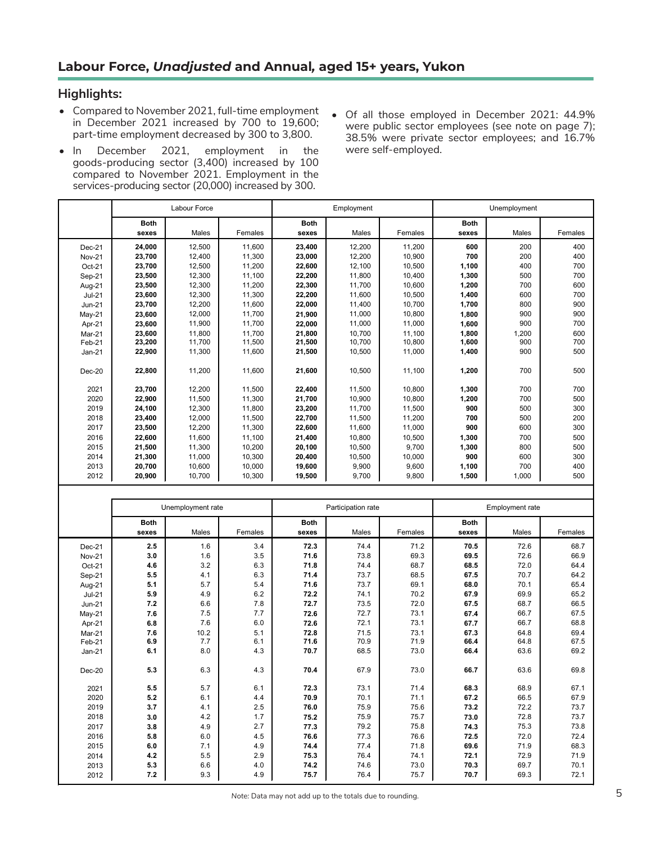### **Highlights:**

- Compared to November 2021, full-time employment in December 2021 increased by 700 to 19,600; part-time employment decreased by 300 to 3,800.
- In December 2021, employment in the goods‑producing sector (3,400) increased by 100 compared to November 2021. Employment in the services-producing sector (20,000) increased by 300.
- Of all those employed in December 2021: 44.9% were public sector employees (see note on page 7); 38.5% were private sector employees; and 16.7% were self-employed.

|               |                      | <b>Labour Force</b> |         |                      | Employment         |         |                      | Unemployment           |         |
|---------------|----------------------|---------------------|---------|----------------------|--------------------|---------|----------------------|------------------------|---------|
|               | <b>Both</b><br>sexes | <b>Males</b>        | Females | <b>Both</b><br>sexes | Males              | Females | <b>Both</b><br>sexes | <b>Males</b>           | Females |
| Dec-21        | 24,000               | 12,500              | 11,600  | 23,400               | 12,200             | 11,200  | 600                  | 200                    | 400     |
| <b>Nov-21</b> | 23,700               | 12,400              | 11,300  | 23,000               | 12,200             | 10.900  | 700                  | 200                    | 400     |
| Oct-21        | 23,700               | 12,500              | 11,200  | 22,600               | 12,100             | 10,500  | 1,100                | 400                    | 700     |
| Sep-21        | 23,500               | 12,300              | 11,100  | 22,200               | 11,800             | 10,400  | 1,300                | 500                    | 700     |
| Aug-21        | 23,500               | 12.300              | 11.200  | 22,300               | 11.700             | 10.600  | 1,200                | 700                    | 600     |
| $Jul-21$      | 23,600               | 12,300              | 11,300  | 22,200               | 11,600             | 10,500  | 1,400                | 600                    | 700     |
| <b>Jun-21</b> | 23,700               | 12,200              | 11,600  | 22,000               | 11,400             | 10,700  | 1,700                | 800                    | 900     |
| $May-21$      | 23,600               | 12,000              | 11,700  | 21,900               | 11,000             | 10,800  | 1,800                | 900                    | 900     |
| Apr-21        | 23,600               | 11,900              | 11,700  | 22,000               | 11,000             | 11,000  | 1,600                | 900                    | 700     |
| Mar-21        | 23,600               | 11,800              | 11,700  | 21,800               | 10,700             | 11,100  | 1,800                | 1,200                  | 600     |
| Feb-21        | 23,200               | 11,700              | 11,500  | 21,500               | 10,700             | 10,800  | 1,600                | 900                    | 700     |
| $Jan-21$      | 22,900               | 11,300              | 11,600  | 21,500               | 10,500             | 11,000  | 1,400                | 900                    | 500     |
| $Dec-20$      | 22,800               | 11,200              | 11,600  | 21,600               | 10,500             | 11,100  | 1,200                | 700                    | 500     |
| 2021          | 23,700               | 12,200              | 11,500  | 22,400               | 11,500             | 10,800  | 1,300                | 700                    | 700     |
| 2020          | 22,900               | 11,500              | 11,300  | 21,700               | 10,900             | 10,800  | 1,200                | 700                    | 500     |
| 2019          | 24,100               | 12,300              | 11,800  | 23,200               | 11,700             | 11,500  | 900                  | 500                    | 300     |
| 2018          | 23,400               | 12,000              | 11,500  | 22,700               | 11,500             | 11,200  | 700                  | 500                    | 200     |
| 2017          | 23,500               | 12,200              | 11,300  | 22,600               | 11,600             | 11,000  | 900                  | 600                    | 300     |
| 2016          | 22,600               | 11,600              | 11,100  | 21,400               | 10,800             | 10,500  | 1,300                | 700                    | 500     |
| 2015          | 21,500               | 11,300              | 10.200  | 20.100               | 10.500             | 9.700   | 1,300                | 800                    | 500     |
| 2014          | 21,300               | 11,000              | 10,300  | 20,400               | 10,500             | 10,000  | 900                  | 600                    | 300     |
| 2013          | 20,700               | 10,600              | 10,000  | 19,600               | 9,900              | 9,600   | 1,100                | 700                    | 400     |
| 2012          | 20,900               | 10.700              | 10.300  | 19.500               | 9.700              | 9.800   | 1.500                | 1.000                  | 500     |
|               |                      |                     |         |                      |                    |         |                      |                        |         |
|               |                      | Unemployment rate   |         |                      | Participation rate |         |                      | <b>Employment rate</b> |         |
|               | <b>Both</b>          |                     |         | <b>Both</b>          |                    |         | <b>Both</b>          |                        |         |
|               | sexes                | Males               | Females | sexes                | Males              | Females | sexes                | Males                  | Females |
| $Dec-21$      | 2.5                  | 1.6                 | 3.4     | 72.3                 | 74.4               | 71.2    | 70.5                 | 72.6                   | 68.7    |
| <b>Nov-21</b> | 3.0                  | 1.6                 | 3.5     | 71.6                 | 73.8               | 69.3    | 69.5                 | 72.6                   | 66.9    |
| Oct-21        | 4.6                  | 3.2                 | 6.3     | 71.8                 | 74.4               | 68.7    | 68.5                 | 72.0                   | 64.4    |
| Sep-21        | 5.5                  | 4.1                 | 6.3     | 71.4                 | 73.7               | 68.5    | 67.5                 | 70.7                   | 64.2    |
| Aug-21        | 5.1                  | 5.7                 | 5.4     | 71.6                 | 73.7               | 69.1    | 68.0                 | 70.1                   | 65.4    |
| $Jul-21$      | 5.9                  | 4.9                 | 6.2     | 72.2                 | 74.1               | 70.2    | 67.9                 | 69.9                   | 65.2    |
| $Jun-21$      | 7.2                  | 6.6                 | 7.8     | 72.7                 | 73.5               | 72.0    | 67.5                 | 68.7                   | 66.5    |
| $May-21$      | 7.6                  | 7.5                 | 7.7     | 72.6                 | 72.7               | 73.1    | 67.4                 | 66.7                   | 67.5    |
| Apr-21        | 6.8                  | 7.6                 | 6.0     | 72.6                 | 72.1               | 73.1    | 67.7                 | 66.7                   | 68.8    |

Mar-21 **7.6** 10.2 5.1 **72.8** 71.5 73.1 **67.3** 64.8 69.4 Feb-21 **6.9** 7.7 6.1 **71.6** 70.9 71.9 **66.4** 64.8 67.5 Jan-21 **6.1** 8.0 4.3 **70.7** 68.5 73.0 **66.4** 63.6 69.2 Dec-20 **5.3** 6.3 4.3 **70.4** 67.9 73.0 **66.7** 63.6 69.8 **5.5** 5.7 6.1 **72.3** 73.1 71.4 **68.3** 68.9 67.1 **5.2** 6.1 4.4 **70.9** 70.1 71.1 **67.2** 66.5 67.9 **3.7** 4.1 2.5 **76.0** 75.9 75.6 **73.2** 72.2 73.7 **3.0** 4.2 1.7 **75.2** 75.9 75.7 **73.0** 72.8 73.7 **3.8** 4.9 2.7 **77.3** 79.2 75.8 **74.3** 75.3 73.8 **5.8** 6.0 4.5 **76.6** 77.3 76.6 **72.5** 72.0 72.4 **6.0** 7.1 4.9 **74.4** 77.4 71.8 **69.6** 71.9 68.3 **4.2** 5.5 2.9 **75.3** 76.4 74.1 **72.1** 72.9 71.9 **5.3** 6.6 4.0 **74.2** 74.6 73.0 **70.3** 69.7 70.1 **7.2** 9.3 4.9 **75.7** 76.4 75.7 **70.7** 69.3 72.1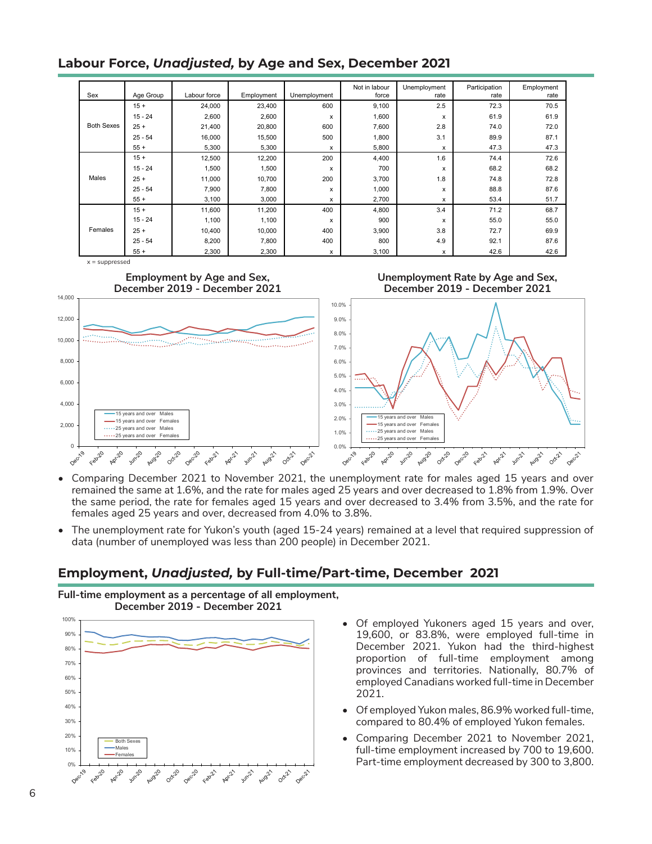## **Labour Force,** *Unadjusted,* **by Age and Sex, December 2021**

| Sex               | Age Group | Labour force | Employment | Unemployment | Not in labour<br>force | Unemployment<br>rate | Participation<br>rate | Employment<br>rate |
|-------------------|-----------|--------------|------------|--------------|------------------------|----------------------|-----------------------|--------------------|
|                   | $15 +$    | 24,000       | 23,400     | 600          | 9,100                  | 2.5                  | 72.3                  | 70.5               |
|                   | $15 - 24$ | 2,600        | 2,600      | X            | 1,600                  | x                    | 61.9                  | 61.9               |
| <b>Both Sexes</b> | $25 +$    | 21,400       | 20,800     | 600          | 7,600                  | 2.8                  | 74.0                  | 72.0               |
|                   | $25 - 54$ | 16,000       | 15,500     | 500          | 1,800                  | 3.1                  | 89.9                  | 87.1               |
|                   | $55+$     | 5,300        | 5,300      | X            | 5,800                  | x                    | 47.3                  | 47.3               |
|                   | $15 +$    | 12,500       | 12,200     | 200          | 4,400                  | 1.6                  | 74.4                  | 72.6               |
|                   | $15 - 24$ | 1,500        | 1,500      | X            | 700                    | x                    | 68.2                  | 68.2               |
| Males             | $25 +$    | 11,000       | 10,700     | 200          | 3,700                  | 1.8                  | 74.8                  | 72.8               |
|                   | $25 - 54$ | 7,900        | 7,800      | X            | 1,000                  | x                    | 88.8                  | 87.6               |
|                   | $55+$     | 3,100        | 3,000      | X            | 2,700                  | x                    | 53.4                  | 51.7               |
|                   | $15 +$    | 11,600       | 11,200     | 400          | 4,800                  | 3.4                  | 71.2                  | 68.7               |
|                   | $15 - 24$ | 1,100        | 1,100      | X            | 900                    | x                    | 55.0                  | 55.0               |
| Females           | $25 +$    | 10,400       | 10,000     | 400          | 3,900                  | 3.8                  | 72.7                  | 69.9               |
|                   | $25 - 54$ | 8,200        | 7,800      | 400          | 800                    | 4.9                  | 92.1                  | 87.6               |
|                   | $55+$     | 2,300        | 2,300      | х            | 3,100                  | x                    | 42.6                  | 42.6               |









- Comparing December 2021 to November 2021, the unemployment rate for males aged 15 years and over remained the same at 1.6%, and the rate for males aged 25 years and over decreased to 1.8% from 1.9%. Over the same period, the rate for females aged 15 years and over decreased to 3.4% from 3.5%, and the rate for females aged 25 years and over, decreased from 4.0% to 3.8%.
- The unemployment rate for Yukon's youth (aged 15-24 years) remained at a level that required suppression of data (number of unemployed was less than 200 people) in December 2021.

## **Employment,** *Unadjusted,* **by Full-time/Part-time, December 2021**





- Of employed Yukoners aged 15 years and over, 19,600, or 83.8%, were employed full-time in December 2021. Yukon had the third-highest proportion of full-time employment among provinces and territories. Nationally, 80.7% of employed Canadians worked full-time in December 2021.
- Of employed Yukon males, 86.9% worked full-time, compared to 80.4% of employed Yukon females.
- Comparing December 2021 to November 2021, full-time employment increased by 700 to 19,600. Part-time employment decreased by 300 to 3,800.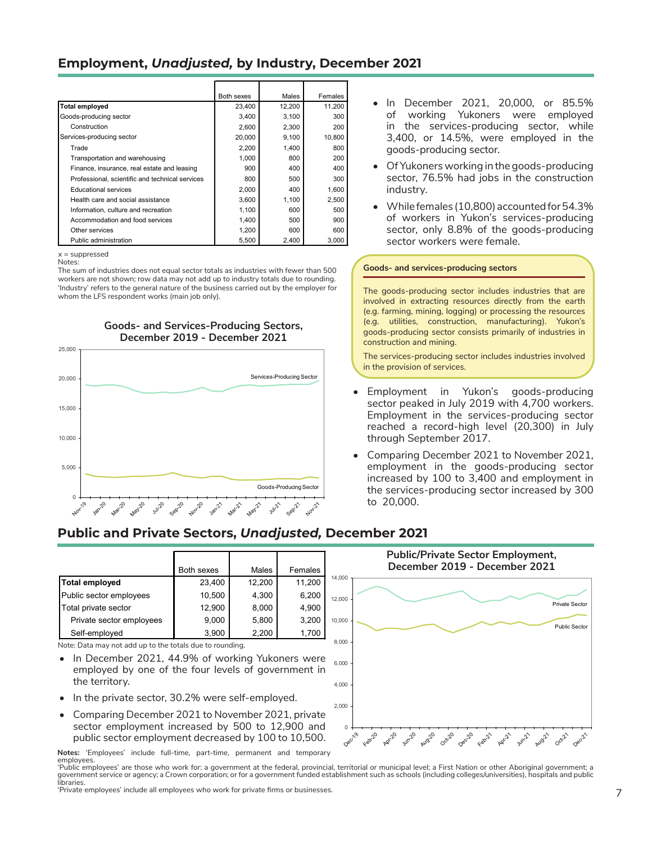### **Employment,** *Unadjusted,* **by Industry, December 2021**

|                                                 | Both sexes | Males  | Females |
|-------------------------------------------------|------------|--------|---------|
| <b>Total employed</b>                           | 23,400     | 12,200 | 11,200  |
| Goods-producing sector                          | 3,400      | 3,100  | 300     |
| Construction                                    | 2,600      | 2,300  | 200     |
| Services-producing sector                       | 20,000     | 9.100  | 10,800  |
| Trade                                           | 2,200      | 1,400  | 800     |
| Transportation and warehousing                  | 1,000      | 800    | 200     |
| Finance, insurance, real estate and leasing     | 900        | 400    | 400     |
| Professional, scientific and technical services | 800        | 500    | 300     |
| <b>Educational services</b>                     | 2,000      | 400    | 1,600   |
| Health care and social assistance               | 3,600      | 1.100  | 2,500   |
| Information, culture and recreation             | 1,100      | 600    | 500     |
| Accommodation and food services                 | 1,400      | 500    | 900     |
| Other services                                  | 1,200      | 600    | 600     |
| Public administration                           | 5,500      | 2.400  | 3,000   |

 $x =$ suppressed Notes:

The sum of industries does not equal sector totals as industries with fewer than 500 workers are not shown; row data may not add up to industry totals due to rounding. 'Industry' refers to the general nature of the business carried out by the employer for whom the LFS respondent works (main job only).



#### **Goods- and Services-Producing Sectors, December 2019 - December 2021**

- In December 2021, 20,000, or 85.5% of working Yukoners were employed in the services-producing sector, while 3,400, or 14.5%, were employed in the goods-producing sector.
- Of Yukoners working in the goods-producing sector, 76.5% had jobs in the construction industry.
- While females (10,800) accounted for 54.3% of workers in Yukon's services‑producing sector, only 8.8% of the goods-producing sector workers were female.



- Employment in Yukon's goods-producing sector peaked in July 2019 with 4,700 workers. Employment in the services-producing sector reached a record-high level (20,300) in July through September 2017.
- Comparing December 2021 to November 2021, employment in the goods-producing sector increased by 100 to 3,400 and employment in the services-producing sector increased by 300 to 20,000.

## **Public and Private Sectors,** *Unadjusted,* **December 2021**

|                          | <b>Both sexes</b> | Males  | Females |
|--------------------------|-------------------|--------|---------|
| Total employed           | 23,400            | 12,200 | 11,200  |
| Public sector employees  | 10,500            | 4,300  | 6,200   |
| Total private sector     | 12,900            | 8,000  | 4,900   |
| Private sector employees | 9,000             | 5,800  | 3,200   |
| Self-employed            | 3,900             | 2,200  | 1,700   |

Note: Data may not add up to the totals due to rounding.

- In December 2021, 44.9% of working Yukoners were employed by one of the four levels of government in the territory.
- In the private sector, 30.2% were self-employed.
- Comparing December 2021 to November 2021, private sector employment increased by 500 to 12,900 and public sector employment decreased by 100 to 10,500.

**Notes:** 'Employees' include full-time, part-time, permanent and temporary employees.

'Public employees' are those who work for: a government at the federal, provincial, territorial or municipal level; a First Nation or other Aboriginal government; a government service or agency; a Crown corporation; or for a government funded establishment such as schools (including colleges/universities), hospitals and public libraries.

'Private employees' include all employees who work for private firms or businesses.